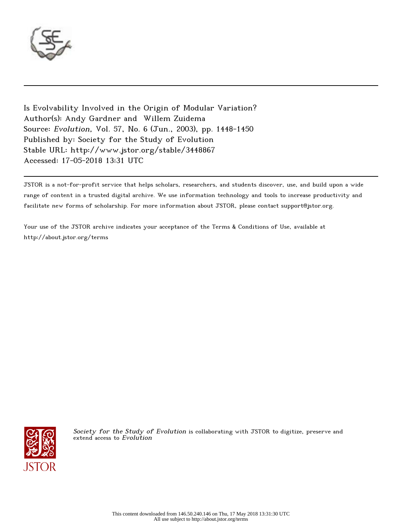

Is Evolvability Involved in the Origin of Modular Variation? Author(s): Andy Gardner and Willem Zuidema Source: Evolution, Vol. 57, No. 6 (Jun., 2003), pp. 1448-1450 Published by: Society for the Study of Evolution Stable URL: http://www.jstor.org/stable/3448867 Accessed: 17-05-2018 13:31 UTC

JSTOR is a not-for-profit service that helps scholars, researchers, and students discover, use, and build upon a wide range of content in a trusted digital archive. We use information technology and tools to increase productivity and facilitate new forms of scholarship. For more information about JSTOR, please contact support@jstor.org.

Your use of the JSTOR archive indicates your acceptance of the Terms & Conditions of Use, available at http://about.jstor.org/terms



Society for the Study of Evolution is collaborating with JSTOR to digitize, preserve and extend access to Evolution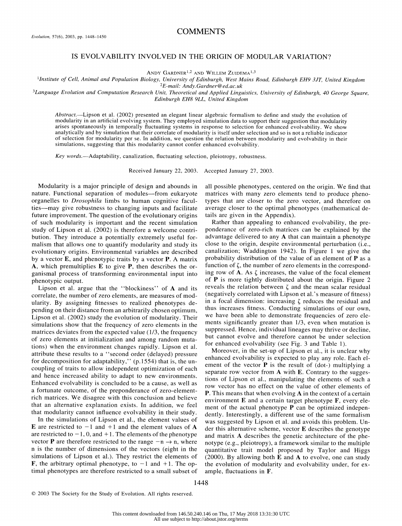# **COMMENTS**

# IS EVOLVABILITY INVOLVED IN THE ORIGIN OF MODULAR VARIATION?

ANDY GARDNER<sup>1,2</sup> AND WILLEM ZUIDEMA<sup>1,3</sup>

 'Institute of Cell, Animal and Population Biology, University of Edinburgh, West Mains Road, Edinburgh EH9 3JT, United Kingdom 2E-mail: Andy.Gardner@ed.ac.uk

<sup>3</sup>Language Evolution and Computation Research Unit, Theoretical and Applied Linguistics, University of Edinburgh, 40 George Square, Edinburgh EH8 9LL, United Kingdom

Abstract.-Lipson et al. (2002) presented an elegant linear algebraic formalism to define and study the evolution of modularity in an artificial evolving system. They employed simulation data to support their suggestion that modularity arises spontaneously in temporally fluctuating systems in response to selection for enhanced evolvability. We show analytically and by simulation that their correlate of modularity is itself under selection and so is not a reliable indicator of selection for modularity per se. In addition, we question the relation between modularity and evolvability in their simulations, suggesting that this modularity cannot confer enhanced evolvability.

Key words.—Adaptability, canalization, fluctuating selection, pleiotropy, robustness.

Received January 22, 2003. Accepted January 27, 2003.

 Modularity is a major principle of design and abounds in nature. Functional separation of modules-from eukaryote organelles to Drosophila limbs to human cognitive facul ties-may give robustness to changing inputs and facilitate future improvement. The question of the evolutionary origins of such modularity is important and the recent simulation study of Lipson et al. (2002) is therefore a welcome contri bution. They introduce a potentially extremely useful for malism that allows one to quantify modularity and study its evolutionary origins. Environmental variables are described by a vector  $E$ , and phenotypic traits by a vector  $P$ . A matrix A, which premultiplies E to give P, then describes the or ganismal process of transforming environmental input into phenotypic output.

Lipson et al. argue that the "blockiness" of A and its correlate, the number of zero elements, are measures of mod ularity. By assigning fitnesses to realized phenotypes de pending on their distance from an arbitrarily chosen optimum, Lipson et al. (2002) study the evolution of modularity. Their simulations show that the frequency of zero elements in the matrices deviates from the expected value (1/3, the frequency of zero elements at initialization and among random muta tions) when the environment changes rapidly. Lipson et al. attribute these results to a "second order (delayed) pressure for decomposition for adaptability,"  $(p.1554)$  that is, the un coupling of traits to allow independent optimization of each and hence increased ability to adapt to new environments. Enhanced evolvability is concluded to be a cause, as well as a fortunate outcome, of the preponderance of zero-element rich matrices. We disagree with this conclusion and believe that an alternative explanation exists. In addition, we feel that modularity cannot influence evolvability in their study.

 In the simulations of Lipson et al., the element values of E are restricted to  $-1$  and  $+1$  and the element values of A are restricted to  $-1$ , 0, and  $+1$ . The elements of the phenotype vector **P** are therefore restricted to the range  $-n \rightarrow n$ , where n is the number of dimensions of the vectors (eight in the simulations of Lipson et al.). They restrict the elements of **F**, the arbitrary optimal phenotype, to  $-1$  and  $+1$ . The optimal phenotypes are therefore restricted to a small subset of  all possible phenotypes, centered on the origin. We find that matrices with many zero elements tend to produce pheno types that are closer to the zero vector, and therefore on average closer to the optimal phenotypes (mathematical de tails are given in the Appendix).

 Rather than appealing to enhanced evolvability, the pre ponderance of zero-rich matrices can be explained by the advantage delivered to any A that can maintain a phenotype close to the origin, despite environmental perturbation (i.e., canalization; Waddington 1942). In Figure 1 we give the probability distribution of the value of an element of P as a function of  $\zeta$ , the number of zero elements in the corresponding row of  $A$ . As  $\zeta$  increases, the value of the focal element of P is more tightly distributed about the origin. Figure 2 reveals the relation between  $\zeta$  and the mean scalar residual (negatively correlated with Lipson et al.' s measure of fitness) in a focal dimension: increasing  $\zeta$  reduces the residual and thus increases fitness. Conducting simulations of our own, we have been able to demonstrate frequencies of zero ele ments significantly greater than 1/3, even when mutation is suppressed. Hence, individual lineages may thrive or decline, but cannot evolve and therefore cannot be under selection for enhanced evolvability (see Fig. 3 and Table 1).

 Moreover, in the set-up of Lipson et al., it is unclear why enhanced evolvability is expected to play any role. Each el ement of the vector  $P$  is the result of (dot-) multiplying a separate row vector from A with E. Contrary to the sugges tions of Lipson et al., manipulating the elements of such a row vector has no effect on the value of other elements of P. This means that when evolving  $A$  in the context of a certain environment  $E$  and a certain target phenotype  $F$ , every ele ment of the actual phenotype P can be optimized indepen dently. Interestingly, a different use of the same formalism was suggested by Lipson et al. and avoids this problem. Un der this alternative scheme, vector E describes the genotype and matrix A describes the genetic architecture of the phe notype (e.g., pleiotropy), a framework similar to the multiple quantitative trait model proposed by Taylor and Higgs (2000). By allowing both  $E$  and  $A$  to evolve, one can study the evolution of modularity and evolvability under, for ex ample, fluctuations in F.

 <sup>? 2003</sup> The Society for the Study of Evolution. All rights reserved.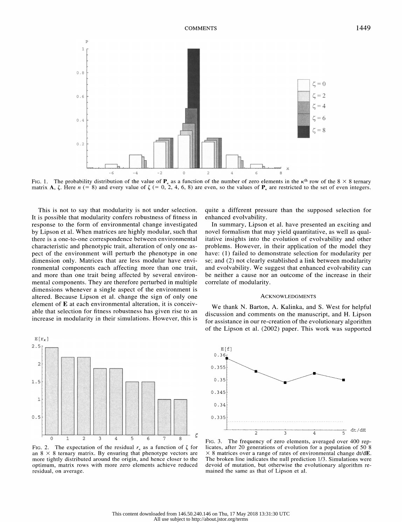

 This is not to say that modularity is not under selection. It is possible that modularity confers robustness of fitness in response to the form of environmental change investigated by Lipson et al. When matrices are highly modular, such that there is a one-to-one correspondence between environmental characteristic and phenotypic trait, alteration of only one as pect of the environment will perturb the phenotype in one dimension only. Matrices that are less modular have envi ronmental components each affecting more than one trait, and more than one trait being affected by several environ mental components. They are therefore perturbed in multiple dimensions whenever a single aspect of the environment is altered. Because Lipson et al. change the sign of only one element of E at each environmental alteration, it is conceiv able that selection for fitness robustness has given rise to an increase in modularity in their simulations. However, this is



FIG. 2. The expectation of the residual  $r_{\kappa}$  as a function of  $\zeta$  for an  $8 \times 8$  ternary matrix. By ensuring that phenotype vectors are more tightly distributed around the origin, and hence closer to the optimum, matrix rows with more zero elements achieve reduced residual, on average.

 quite a different pressure than the supposed selection for enhanced evolvability.

 In summary, Lipson et al. have presented an exciting and novel formalism that may yield quantitative, as well as qual itative insights into the evolution of evolvability and other problems. However, in their application of the model they have: (1) failed to demonstrate selection for modularity per se; and (2) not clearly established a link between modularity and evolvability. We suggest that enhanced evolvability can be neither a cause nor an outcome of the increase in their correlate of modularity.

### ACKNOWLEDGMENTS

 We thank N. Barton, A. Kalinka, and S. West for helpful discussion and comments on the manuscript, and H. Lipson for assistance in our re-creation of the evolutionary algorithm of the Lipson et al. (2002) paper. This work was supported



 FIG. 3. The frequency of zero elements, averaged over 400 rep licates, after 20 generations of evolution for a population of 50 8  $\times$  8 matrices over a range of rates of environmental change dt/dE. The broken line indicates the null prediction 1/3. Simulations were devoid of mutation, but otherwise the evolutionary algorithm re mained the same as that of Lipson et al.